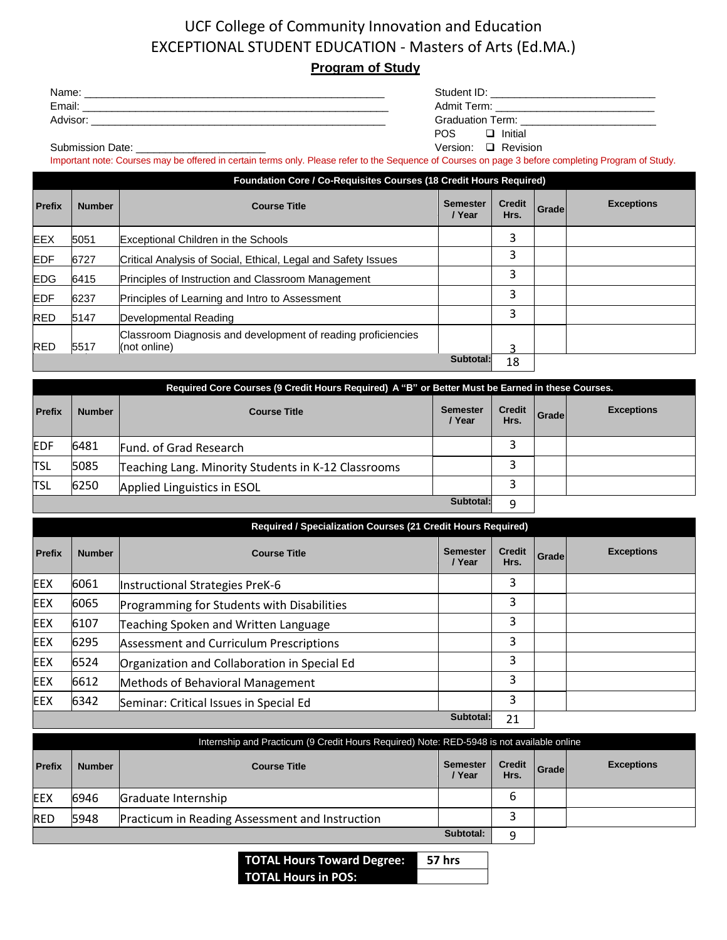## UCF College of Community Innovation and Education EXCEPTIONAL STUDENT EDUCATION - Masters of Arts (Ed.MA.) **Program of Study**

## Name: \_\_\_\_\_\_\_\_\_\_\_\_\_\_\_\_\_\_\_\_\_\_\_\_\_\_\_\_\_\_\_\_\_\_\_\_\_\_\_\_\_\_\_\_\_\_\_\_\_\_\_ Student ID: \_\_\_\_\_\_\_\_\_\_\_\_\_\_\_\_\_\_\_\_\_\_\_\_\_\_\_\_ Email:  $\blacksquare$ Advisor: \_\_\_\_\_\_\_\_\_\_\_\_\_\_\_\_\_\_\_\_\_\_\_\_\_\_\_\_\_\_\_\_\_\_\_\_\_\_\_\_\_\_\_\_\_\_\_\_\_\_ Graduation Term: \_\_\_\_\_\_\_\_\_\_\_\_\_\_\_\_\_\_\_\_\_\_\_ POS **I**nitial Submission Date: \_\_\_\_\_\_\_\_\_\_\_\_\_\_\_\_\_\_\_\_\_\_ Version: Revision

Important note: Courses may be offered in certain terms only. Please refer to the Sequence of Courses on page 3 before completing Program of Study.

|               | <b>Foundation Core / Co-Requisites Courses (18 Credit Hours Required)</b> |                                                                              |                           |                       |       |                   |
|---------------|---------------------------------------------------------------------------|------------------------------------------------------------------------------|---------------------------|-----------------------|-------|-------------------|
| <b>Prefix</b> | <b>Number</b>                                                             | <b>Course Title</b>                                                          | <b>Semester</b><br>/ Year | <b>Credit</b><br>Hrs. | Grade | <b>Exceptions</b> |
| <b>EEX</b>    | 5051                                                                      | <b>Exceptional Children in the Schools</b>                                   |                           | 3                     |       |                   |
| <b>EDF</b>    | 6727                                                                      | Critical Analysis of Social, Ethical, Legal and Safety Issues                |                           | 3                     |       |                   |
| <b>EDG</b>    | 6415                                                                      | Principles of Instruction and Classroom Management                           |                           | 3                     |       |                   |
| <b>EDF</b>    | 6237                                                                      | Principles of Learning and Intro to Assessment                               |                           | 3                     |       |                   |
| <b>RED</b>    | 5147                                                                      | Developmental Reading                                                        |                           | 3                     |       |                   |
| <b>RED</b>    | 5517                                                                      | Classroom Diagnosis and development of reading proficiencies<br>(not online) |                           | っ                     |       |                   |
|               |                                                                           |                                                                              | Subtotal:                 | 18                    |       |                   |

| Required Core Courses (9 Credit Hours Required) A "B" or Better Must be Earned in these Courses. |               |                                                     |                           |                       |       |                   |
|--------------------------------------------------------------------------------------------------|---------------|-----------------------------------------------------|---------------------------|-----------------------|-------|-------------------|
| <b>Prefix</b>                                                                                    | <b>Number</b> | <b>Course Title</b>                                 | <b>Semester</b><br>/ Year | <b>Credit</b><br>Hrs. | Grade | <b>Exceptions</b> |
| <b>EDF</b>                                                                                       | 6481          | Fund. of Grad Research                              |                           |                       |       |                   |
| <b>TSL</b>                                                                                       | 5085          | Teaching Lang. Minority Students in K-12 Classrooms |                           |                       |       |                   |
| <b>TSL</b>                                                                                       | 6250          | Applied Linguistics in ESOL                         |                           |                       |       |                   |
|                                                                                                  |               |                                                     | Subtotal:                 | q                     |       |                   |

|               | <b>Required / Specialization Courses (21 Credit Hours Required)</b> |                                                |                           |                       |       |                   |
|---------------|---------------------------------------------------------------------|------------------------------------------------|---------------------------|-----------------------|-------|-------------------|
| <b>Prefix</b> | <b>Number</b>                                                       | <b>Course Title</b>                            | <b>Semester</b><br>/ Year | <b>Credit</b><br>Hrs. | Grade | <b>Exceptions</b> |
| <b>EEX</b>    | 6061                                                                | Instructional Strategies PreK-6                |                           | 3                     |       |                   |
| <b>EEX</b>    | 6065                                                                | Programming for Students with Disabilities     |                           | 3                     |       |                   |
| <b>EEX</b>    | 6107                                                                | Teaching Spoken and Written Language           |                           | 3                     |       |                   |
| <b>EEX</b>    | 6295                                                                | <b>Assessment and Curriculum Prescriptions</b> |                           | 3                     |       |                   |
| <b>EEX</b>    | 6524                                                                | Organization and Collaboration in Special Ed   |                           | 3                     |       |                   |
| <b>EEX</b>    | 6612                                                                | Methods of Behavioral Management               |                           | 3                     |       |                   |
| <b>EEX</b>    | 6342                                                                | Seminar: Critical Issues in Special Ed         |                           | 3                     |       |                   |
|               |                                                                     |                                                | Subtotal:                 | 21                    |       |                   |

| Internship and Practicum (9 Credit Hours Required) Note: RED-5948 is not available online |               |                                                 |                           |                       |       |                   |
|-------------------------------------------------------------------------------------------|---------------|-------------------------------------------------|---------------------------|-----------------------|-------|-------------------|
| <b>Prefix</b>                                                                             | <b>Number</b> | <b>Course Title</b>                             | <b>Semester</b><br>/ Year | <b>Credit</b><br>Hrs. | Grade | <b>Exceptions</b> |
| <b>IEEX</b>                                                                               | 6946          | Graduate Internship                             |                           | 6                     |       |                   |
| <b>RED</b>                                                                                | 5948          | Practicum in Reading Assessment and Instruction |                           | э                     |       |                   |
|                                                                                           |               |                                                 | Subtotal:                 | q                     |       |                   |

**TOTAL Hours Toward Degree: 57 hrs TOTAL Hours in POS: min.**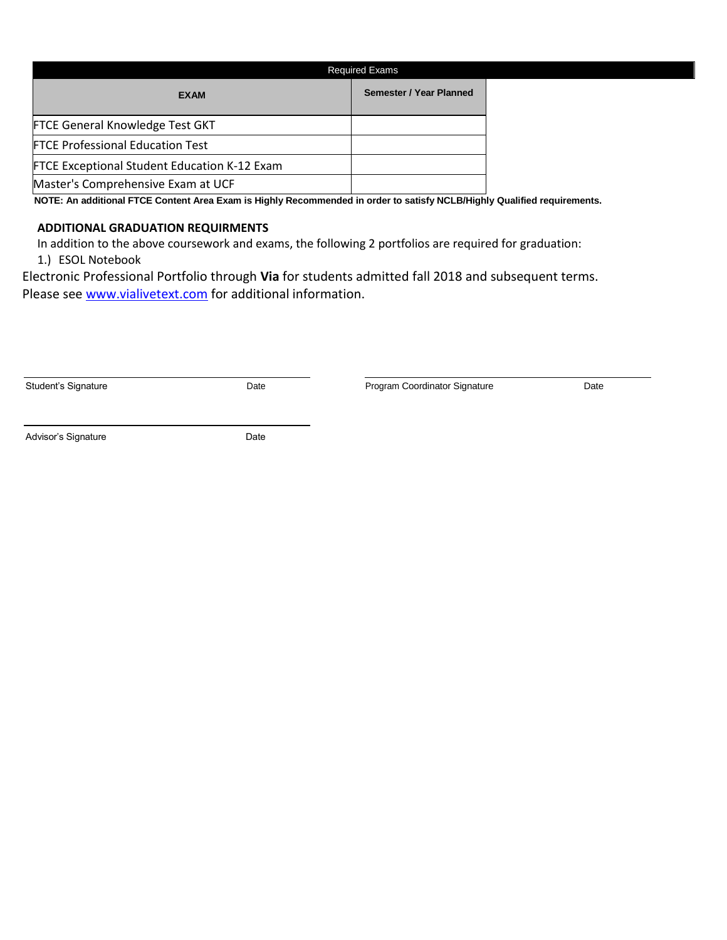|                                                     | <b>Required Exams</b>          |  |  |  |
|-----------------------------------------------------|--------------------------------|--|--|--|
| <b>EXAM</b>                                         | <b>Semester / Year Planned</b> |  |  |  |
| <b>FTCE General Knowledge Test GKT</b>              |                                |  |  |  |
| <b>FTCE Professional Education Test</b>             |                                |  |  |  |
| <b>FTCE Exceptional Student Education K-12 Exam</b> |                                |  |  |  |
| Master's Comprehensive Exam at UCF                  |                                |  |  |  |

 **NOTE: An additional FTCE Content Area Exam is Highly Recommended in order to satisfy NCLB/Highly Qualified requirements.**

## **ADDITIONAL GRADUATION REQUIRMENTS**

In addition to the above coursework and exams, the following 2 portfolios are required for graduation: 1.) ESOL Notebook

Electronic Professional Portfolio through **Via** for students admitted fall 2018 and subsequent terms. Please see [www.vialivetext.com](http://www.vialivetext.com/) for additional information.

Date **Student's Student's Program Coordinator Signature** Date Date

Advisor's Signature **Date** Date